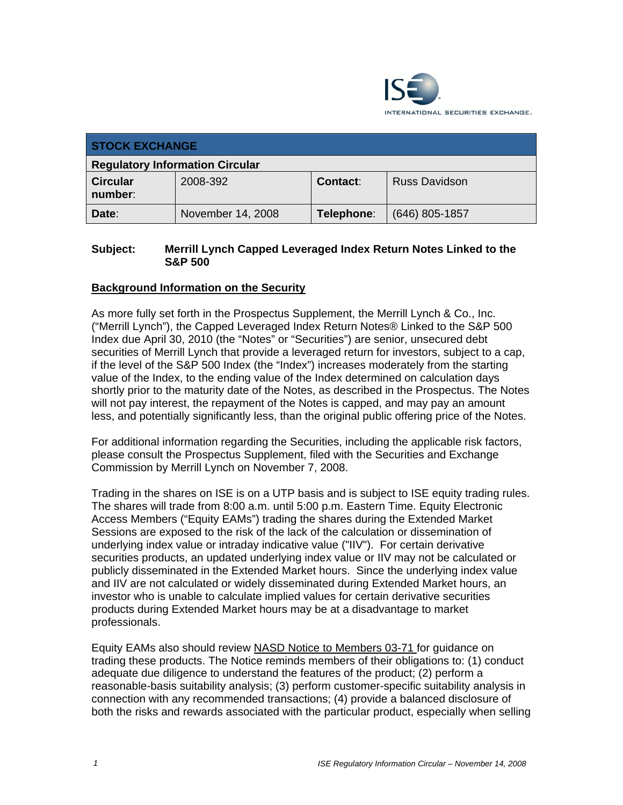

| <b>STOCK EXCHANGE</b>                  |                   |            |                      |
|----------------------------------------|-------------------|------------|----------------------|
| <b>Regulatory Information Circular</b> |                   |            |                      |
| <b>Circular</b><br>number:             | 2008-392          | Contact:   | <b>Russ Davidson</b> |
| Date:                                  | November 14, 2008 | Telephone: | (646) 805-1857       |

## **Subject: Merrill Lynch Capped Leveraged Index Return Notes Linked to the S&P 500**

## **Background Information on the Security**

As more fully set forth in the Prospectus Supplement, the Merrill Lynch & Co., Inc. ("Merrill Lynch"), the Capped Leveraged Index Return Notes® Linked to the S&P 500 Index due April 30, 2010 (the "Notes" or "Securities") are senior, unsecured debt securities of Merrill Lynch that provide a leveraged return for investors, subject to a cap, if the level of the S&P 500 Index (the "Index") increases moderately from the starting value of the Index, to the ending value of the Index determined on calculation days shortly prior to the maturity date of the Notes, as described in the Prospectus. The Notes will not pay interest, the repayment of the Notes is capped, and may pay an amount less, and potentially significantly less, than the original public offering price of the Notes.

For additional information regarding the Securities, including the applicable risk factors, please consult the Prospectus Supplement, filed with the Securities and Exchange Commission by Merrill Lynch on November 7, 2008.

Trading in the shares on ISE is on a UTP basis and is subject to ISE equity trading rules. The shares will trade from 8:00 a.m. until 5:00 p.m. Eastern Time. Equity Electronic Access Members ("Equity EAMs") trading the shares during the Extended Market Sessions are exposed to the risk of the lack of the calculation or dissemination of underlying index value or intraday indicative value ("IIV"). For certain derivative securities products, an updated underlying index value or IIV may not be calculated or publicly disseminated in the Extended Market hours. Since the underlying index value and IIV are not calculated or widely disseminated during Extended Market hours, an investor who is unable to calculate implied values for certain derivative securities products during Extended Market hours may be at a disadvantage to market professionals.

Equity EAMs also should review NASD Notice to Members 03-71 for guidance on trading these products. The Notice reminds members of their obligations to: (1) conduct adequate due diligence to understand the features of the product; (2) perform a reasonable-basis suitability analysis; (3) perform customer-specific suitability analysis in connection with any recommended transactions; (4) provide a balanced disclosure of both the risks and rewards associated with the particular product, especially when selling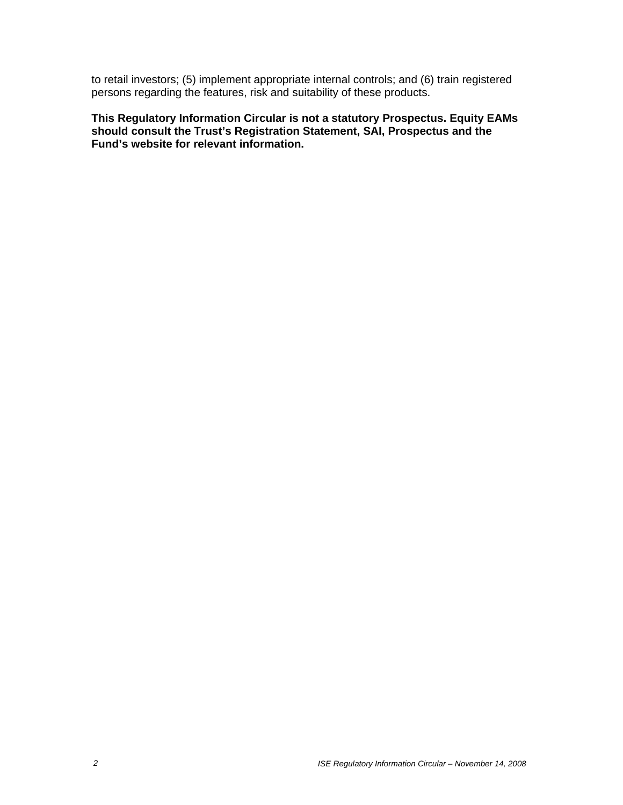to retail investors; (5) implement appropriate internal controls; and (6) train registered persons regarding the features, risk and suitability of these products.

**This Regulatory Information Circular is not a statutory Prospectus. Equity EAMs should consult the Trust's Registration Statement, SAI, Prospectus and the Fund's website for relevant information.**